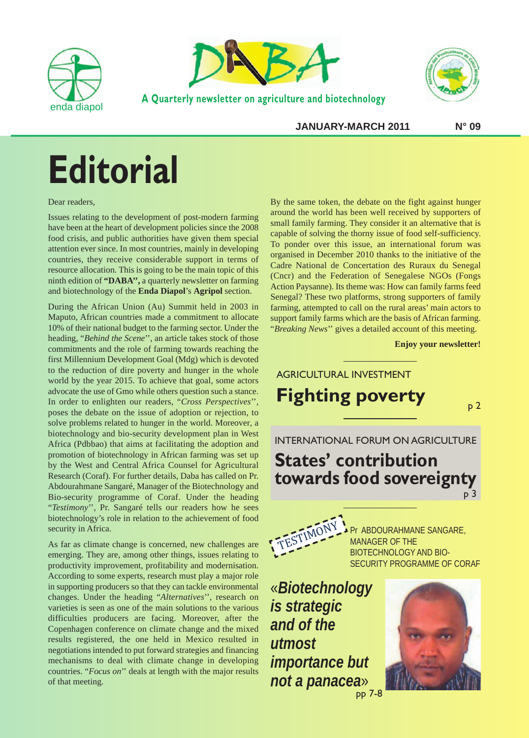



**A Quarterly newsletter on agriculture and biotechnology**



**JANUARY-MARCH 2011 N° 09**

# **Editorial**

Dear readers,

Issues relating to the development of post-modern farming have been at the heart of development policies since the 2008 food crisis, and public authorities have given them special attention ever since. In most countries, mainly in developing countries, they receive considerable support in terms of resource allocation. This is going to be the main topic of this ninth edition of **"DABA'',** a quarterly newsletter on farming and biotechnology of the **Enda Diapol**'s **Agripol** section.

During the African Union (Au) Summit held in 2003 in Maputo, African countries made a commitment to allocate 10% of their national budget to the farming sector. Under the heading, "*Behind the Scene*'', an article takes stock of those commitments and the role of farming towards reaching the first Millennium Development Goal (Mdg) which is devoted to the reduction of dire poverty and hunger in the whole world by the year 2015. To achieve that goal, some actors advocate the use of Gmo while others question such a stance. In order to enlighten our readers, "*Cross Perspectives*'', poses the debate on the issue of adoption or rejection, to solve problems related to hunger in the world. Moreover, a biotechnology and bio-security development plan in West Africa (Pdbbao) that aims at facilitating the adoption and promotion of biotechnology in African farming was set up by the West and Central Africa Counsel for Agricultural Research (Coraf). For further details, Daba has called on Pr. Abdourahmane Sangaré, Manager of the Biotechnology and Bio-security programme of Coraf. Under the heading "*Testimony*'', Pr. Sangaré tells our readers how he sees biotechnology's role in relation to the achievement of food security in Africa.

As far as climate change is concerned, new challenges are emerging. They are, among other things, issues relating to productivity improvement, profitability and modernisation. According to some experts, research must play a major role in supporting producers so that they can tackle environmental changes. Under the heading "*Alternatives*'', research on varieties is seen as one of the main solutions to the various difficulties producers are facing. Moreover, after the Copenhagen conference on climate change and the mixed results registered, the one held in Mexico resulted in negotiations intended to put forward strategies and financing mechanisms to deal with climate change in developing countries. "*Focus on*'' deals at length with the major results of that meeting.

By the same token, the debate on the fight against hunger around the world has been well received by supporters of small family farming. They consider it an alternative that is capable of solving the thorny issue of food self-sufficiency. To ponder over this issue, an international forum was organised in December 2010 thanks to the initiative of the Cadre National de Concertation des Ruraux du Senegal (Cncr) and the Federation of Senegalese NGOs (Fongs Action Paysanne). Its theme was: How can family farms feed Senegal? These two platforms, strong supporters of family farming, attempted to call on the rural areas' main actors to support family farms which are the basis of African farming. "*Breaking News*'' gives a detailed account of this meeting.

**Enjoy your newsletter!**

TESTIMONY Pr ABDOURAHMANE SANGARE, MANAGER OF THE BIOTECHNOLOGY AND BIO-SECURITY PROGRAMME OF CORAF INTERNATIONAL FORUM ON AGRICULTURE **States' contribution towards food sovereignty** AGRICULTURAL INVESTMENT **Fighting poverty** p 3

«*Biotechnology is strategic and of the utmost importance but not a panacea*» pp 7-8

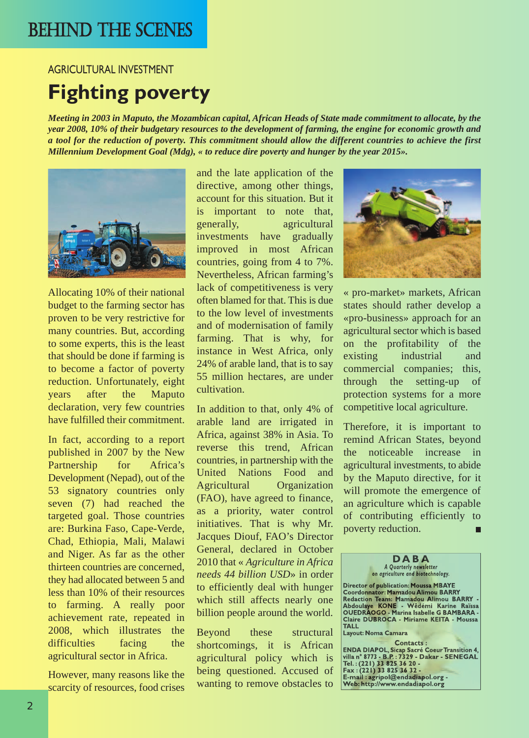## BEHIND THE SCENES

AGRICULTURAL INVESTMENT

## **Fighting poverty**

*Meeting in 2003 in Maputo, the Mozambican capital, African Heads of State made commitment to allocate, by the year 2008, 10% of their budgetary resources to the development of farming, the engine for economic growth and a tool for the reduction of poverty. This commitment should allow the different countries to achieve the first Millennium Development Goal (Mdg), « to reduce dire poverty and hunger by the year 2015».*



Allocating 10% of their national budget to the farming sector has proven to be very restrictive for many countries. But, according to some experts, this is the least that should be done if farming is to become a factor of poverty reduction. Unfortunately, eight years after the Maputo declaration, very few countries have fulfilled their commitment.

In fact, according to a report published in 2007 by the New Partnership for Africa's Development (Nepad), out of the 53 signatory countries only seven (7) had reached the targeted goal. Those countries are: Burkina Faso, Cape-Verde, Chad, Ethiopia, Mali, Malawi and Niger. As far as the other thirteen countries are concerned, they had allocated between 5 and less than 10% of their resources to farming. A really poor achievement rate, repeated in 2008, which illustrates the difficulties facing the agricultural sector in Africa.

However, many reasons like the scarcity of resources, food crises and the late application of the directive, among other things, account for this situation. But it is important to note that, generally, agricultural investments have gradually improved in most African countries, going from 4 to 7%. Nevertheless, African farming's lack of competitiveness is very often blamed for that. This is due to the low level of investments and of modernisation of family farming. That is why, for instance in West Africa, only 24% of arable land, that is to say 55 million hectares, are under cultivation.

In addition to that, only 4% of arable land are irrigated in Africa, against 38% in Asia. To reverse this trend, African countries, in partnership with the United Nations Food and Agricultural Organization (FAO), have agreed to finance, as a priority, water control initiatives. That is why Mr. Jacques Diouf, FAO's Director General, declared in October 2010 that « *Agriculture in Africa needs 44 billion USD*» in order to efficiently deal with hunger which still affects nearly one billion people around the world.

Beyond these structural shortcomings, it is African agricultural policy which is being questioned. Accused of wanting to remove obstacles to



« pro-market» markets, African states should rather develop a «pro-business» approach for an agricultural sector which is based on the profitability of the existing industrial and commercial companies; this, through the setting-up of protection systems for a more competitive local agriculture.

Therefore, it is important to remind African States, beyond the noticeable increase in agricultural investments, to abide by the Maputo directive, for it will promote the emergence of an agriculture which is capable of contributing efficiently to poverty reduction.

**Director of publication: Moussa MBAYE Coordonnator: Mamadou Alimou BARRY Redaction Team: Mamadou Alimou BARRY - Abdoulaye KONE - Wêdémi Karine Raïssa OUEDRAOGO - Marina Isabelle G BAMBARA - Claire DUBROCA - Miriame KEITA - Moussa TALL**

**Layout: Noma Camara**

**Contacts : ENDA DIAPOL, Sicap Sacré CoeurTransition 4, villa n° 8773 - B.P. : 7329 - Dakar - SENEGAL Tel. : (221) 33 825 36 20 - Fax : (221) 33 825 36 32 - E-mail : agripol@endadiapol.org - Web: http://www.endadiapol.org**

**D A B A** *A Quarterly newsletter on agriculture and biotechnology.*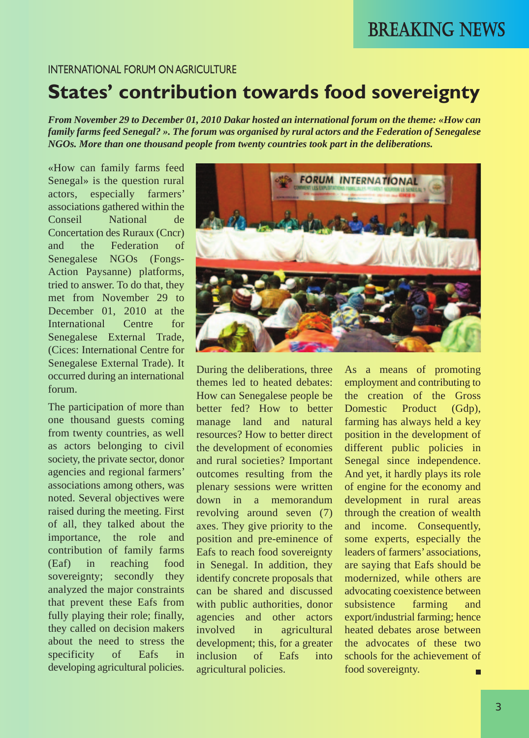## BREAKING NEWS

### INTERNATIONAL FORUM ON AGRICULTURE

## **States' contribution towards food sovereignty**

*From November 29 to December 01, 2010 Dakar hosted an international forum on the theme: «How can family farms feed Senegal? ». The forum was organised by rural actors and the Federation of Senegalese NGOs. More than one thousand people from twenty countries took part in the deliberations.*

«How can family farms feed Senegal» is the question rural actors, especially farmers' associations gathered within the Conseil National de Concertation des Ruraux (Cncr) and the Federation of Senegalese NGOs (Fongs-Action Paysanne) platforms, tried to answer. To do that, they met from November 29 to December 01, 2010 at the International Centre for Senegalese External Trade, (Cices: International Centre for Senegalese External Trade). It occurred during an international forum.

The participation of more than one thousand guests coming from twenty countries, as well as actors belonging to civil society, the private sector, donor agencies and regional farmers' associations among others, was noted. Several objectives were raised during the meeting. First of all, they talked about the importance, the role and contribution of family farms (Eaf) in reaching food sovereignty; secondly they analyzed the major constraints that prevent these Eafs from fully playing their role; finally, they called on decision makers about the need to stress the specificity of Eafs in developing agricultural policies.



During the deliberations, three themes led to heated debates: How can Senegalese people be better fed? How to better manage land and natural resources? How to better direct the development of economies and rural societies? Important outcomes resulting from the plenary sessions were written down in a memorandum revolving around seven (7) axes. They give priority to the position and pre-eminence of Eafs to reach food sovereignty in Senegal. In addition, they identify concrete proposals that can be shared and discussed with public authorities, donor agencies and other actors involved in agricultural development; this, for a greater inclusion of Eafs into agricultural policies.

As a means of promoting employment and contributing to the creation of the Gross Domestic Product (Gdp), farming has always held a key position in the development of different public policies in Senegal since independence. And yet, it hardly plays its role of engine for the economy and development in rural areas through the creation of wealth and income. Consequently, some experts, especially the leaders of farmers' associations, are saying that Eafs should be modernized, while others are advocating coexistence between subsistence farming and export/industrial farming; hence heated debates arose between the advocates of these two schools for the achievement of food sovereignty. П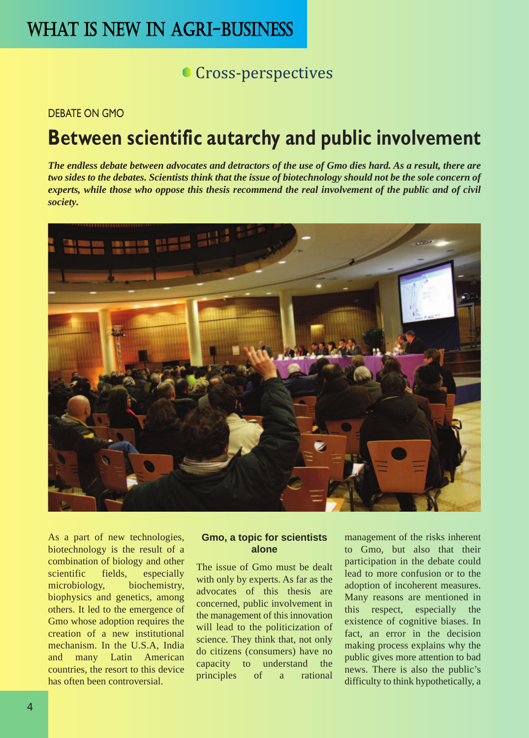## WHAT IS NEW IN AGRI-BUSINESS

### **Cross-perspectives**

### DEBATE ON GMO

## **Between scientific autarchy and public involvement**

*The endless debate between advocates and detractors of the use of Gmo dies hard. As a result, there are two sides to the debates. Scientists think that the issue of biotechnology should not be the sole concern of experts, while those who oppose this thesis recommend the real involvement of the public and of civil society.*



As a part of new technologies, biotechnology is the result of a combination of biology and other scientific fields, especially microbiology, biochemistry, biophysics and genetics, among others. It led to the emergence of Gmo whose adoption requires the creation of a new institutional mechanism. In the U.S.A, India and many Latin American countries, the resort to this device has often been controversial.

### **Gmo, a topic for scientists alone**

The issue of Gmo must be dealt with only by experts. As far as the advocates of this thesis are concerned, public involvement in the management of this innovation will lead to the politicization of science. They think that, not only do citizens (consumers) have no capacity to understand the principles of a rational

management of the risks inherent to Gmo, but also that their participation in the debate could lead to more confusion or to the adoption of incoherent measures. Many reasons are mentioned in this respect, especially the existence of cognitive biases. In fact, an error in the decision making process explains why the public gives more attention to bad news. There is also the public's difficulty to think hypothetically, a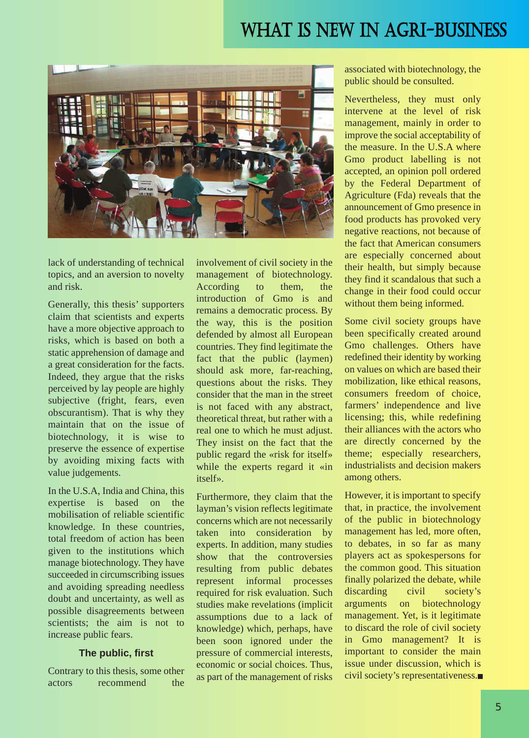## WHAT IS NEW IN AGRI-BUSINESS



lack of understanding of technical topics, and an aversion to novelty and risk.

Generally, this thesis' supporters claim that scientists and experts have a more objective approach to risks, which is based on both a static apprehension of damage and a great consideration for the facts. Indeed, they argue that the risks perceived by lay people are highly subjective (fright, fears, even obscurantism). That is why they maintain that on the issue of biotechnology, it is wise to preserve the essence of expertise by avoiding mixing facts with value judgements.

In the U.S.A, India and China, this expertise is based on the mobilisation of reliable scientific knowledge. In these countries, total freedom of action has been given to the institutions which manage biotechnology. They have succeeded in circumscribing issues and avoiding spreading needless doubt and uncertainty, as well as possible disagreements between scientists; the aim is not to increase public fears.

### **The public, first**

Contrary to this thesis, some other actors recommend the involvement of civil society in the management of biotechnology. According to them, the introduction of Gmo is and remains a democratic process. By the way, this is the position defended by almost all European countries. They find legitimate the fact that the public (laymen) should ask more, far-reaching, questions about the risks. They consider that the man in the street is not faced with any abstract, theoretical threat, but rather with a real one to which he must adjust. They insist on the fact that the public regard the «risk for itself» while the experts regard it «in itself».

Furthermore, they claim that the layman's vision reflects legitimate concerns which are not necessarily taken into consideration by experts. In addition, many studies show that the controversies resulting from public debates represent informal processes required for risk evaluation. Such studies make revelations (implicit assumptions due to a lack of knowledge) which, perhaps, have been soon ignored under the pressure of commercial interests, economic or social choices. Thus, as part of the management of risks associated with biotechnology, the public should be consulted.

Nevertheless, they must only intervene at the level of risk management, mainly in order to improve the social acceptability of the measure. In the U.S.A where Gmo product labelling is not accepted, an opinion poll ordered by the Federal Department of Agriculture (Fda) reveals that the announcement of Gmo presence in food products has provoked very negative reactions, not because of the fact that American consumers are especially concerned about their health, but simply because they find it scandalous that such a change in their food could occur without them being informed.

Some civil society groups have been specifically created around Gmo challenges. Others have redefined their identity by working on values on which are based their mobilization, like ethical reasons, consumers freedom of choice, farmers' independence and live licensing; this, while redefining their alliances with the actors who are directly concerned by the theme; especially researchers, industrialists and decision makers among others.

However, it is important to specify that, in practice, the involvement of the public in biotechnology management has led, more often, to debates, in so far as many players act as spokespersons for the common good. This situation finally polarized the debate, while discarding civil society's arguments on biotechnology management. Yet, is it legitimate to discard the role of civil society in Gmo management? It is important to consider the main issue under discussion, which is civil society's representativeness.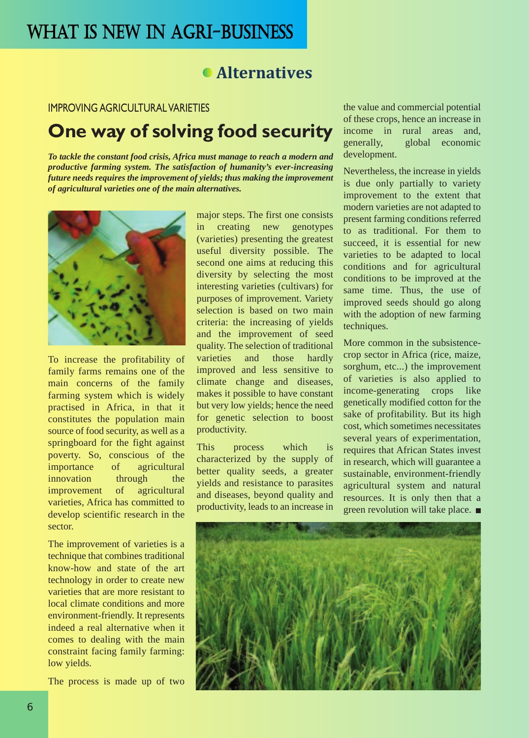### **Alternatives**

### IMPROVING AGRICULTURAL VARIETIES

### **One way of solving food security**

*To tackle the constant food crisis, Africa must manage to reach a modern and productive farming system. The satisfaction of humanity's ever-increasing future needs requires the improvement of yields; thus making the improvement of agricultural varieties one of the main alternatives.*



To increase the profitability of family farms remains one of the main concerns of the family farming system which is widely practised in Africa, in that it constitutes the population main source of food security, as well as a springboard for the fight against poverty. So, conscious of the importance of agricultural innovation through the improvement of agricultural varieties, Africa has committed to develop scientific research in the sector.

The improvement of varieties is a technique that combines traditional know-how and state of the art technology in order to create new varieties that are more resistant to local climate conditions and more environment-friendly. It represents indeed a real alternative when it comes to dealing with the main constraint facing family farming: low yields.

The process is made up of two

major steps. The first one consists in creating new genotypes (varieties) presenting the greatest useful diversity possible. The second one aims at reducing this diversity by selecting the most interesting varieties (cultivars) for purposes of improvement. Variety selection is based on two main criteria: the increasing of yields and the improvement of seed quality. The selection of traditional varieties and those hardly improved and less sensitive to climate change and diseases, makes it possible to have constant but very low yields; hence the need for genetic selection to boost productivity.

This process which is characterized by the supply of better quality seeds, a greater yields and resistance to parasites and diseases, beyond quality and productivity, leads to an increase in the value and commercial potential of these crops, hence an increase in income in rural areas and, generally, global economic development.

Nevertheless, the increase in yields is due only partially to variety improvement to the extent that modern varieties are not adapted to present farming conditions referred to as traditional. For them to succeed, it is essential for new varieties to be adapted to local conditions and for agricultural conditions to be improved at the same time. Thus, the use of improved seeds should go along with the adoption of new farming techniques.

More common in the subsistencecrop sector in Africa (rice, maize, sorghum, etc...) the improvement of varieties is also applied to income-generating crops like genetically modified cotton for the sake of profitability. But its high cost, which sometimes necessitates several years of experimentation, requires that African States invest in research, which will guarantee a sustainable, environment-friendly agricultural system and natural resources. It is only then that a green revolution will take place. ■

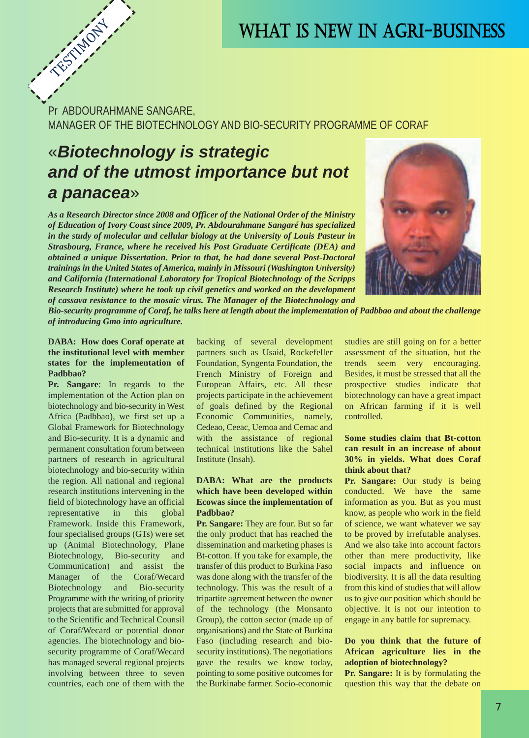## WHAT IS NEW IN AGRI-BUSINESS

Pr ABDOURAHMANE SANGARE, MANAGER OF THE BIOTECHNOLOGY AND BIO-SECURITY PROGRAMME OF CORAF

### «*Biotechnology is strategic and of the utmost importance but not a panacea*»

*As a Research Director since 2008 and Officer of the National Order of the Ministry of Education of Ivory Coast since 2009, Pr. Abdourahmane Sangaré has specialized in the study of molecular and cellular biology at the University of Louis Pasteur in Strasbourg, France, where he received his Post Graduate Certificate (DEA) and obtained a unique Dissertation. Prior to that, he had done several Post-Doctoral trainings in the United States of America, mainly in Missouri (Washington University) and California (International Laboratory for Tropical Biotechnology of the Scripps Research Institute) where he took up civil genetics and worked on the development of cassava resistance to the mosaic virus. The Manager of the Biotechnology and*



*Bio-security programme of Coraf, he talks here at length about the implementation of Padbbao and about the challenge of introducing Gmo into agriculture.* 

### **DABA: How does Coraf operate at the institutional level with member states for the implementation of Padbbao?**

TESTIMONY

**Pr. Sangare**: In regards to the implementation of the Action plan on biotechnology and bio-security in West Africa (Padbbao), we first set up a Global Framework for Biotechnology and Bio-security. It is a dynamic and permanent consultation forum between partners of research in agricultural biotechnology and bio-security within the region. All national and regional research institutions intervening in the field of biotechnology have an official representative in this global Framework. Inside this Framework, four specialised groups (GTs) were set up (Animal Biotechnology, Plane Biotechnology, Bio-security and Communication) and assist the Manager of the Coraf/Wecard Biotechnology and Bio-security Programme with the writing of priority projects that are submitted for approval to the Scientific and Technical Counsil of Coraf/Wecard or potential donor agencies. The biotechnology and biosecurity programme of Coraf/Wecard has managed several regional projects involving between three to seven countries, each one of them with the

backing of several development partners such as Usaid, Rockefeller Foundation, Syngenta Foundation, the French Ministry of Foreign and European Affairs, etc. All these projects participate in the achievement of goals defined by the Regional Economic Communities, namely, Cedeao, Ceeac, Uemoa and Cemac and with the assistance of regional technical institutions like the Sahel Institute (Insah).

### **DABA: What are the products which have been developed within Ecowas since the implementation of Padbbao?**

**Pr. Sangare:** They are four. But so far the only product that has reached the dissemination and marketing phases is Bt-cotton. If you take for example, the transfer of this product to Burkina Faso was done along with the transfer of the technology. This was the result of a tripartite agreement between the owner of the technology (the Monsanto Group), the cotton sector (made up of organisations) and the State of Burkina Faso (including research and biosecurity institutions). The negotiations gave the results we know today, pointing to some positive outcomes for the Burkinabe farmer. Socio-economic studies are still going on for a better assessment of the situation, but the trends seem very encouraging. Besides, it must be stressed that all the prospective studies indicate that biotechnology can have a great impact on African farming if it is well controlled.

#### **Some studies claim that Bt-cotton can result in an increase of about 30% in yields. What does Coraf think about that?**

**Pr. Sangare:** Our study is being conducted. We have the same information as you. But as you must know, as people who work in the field of science, we want whatever we say to be proved by irrefutable analyses. And we also take into account factors other than mere productivity, like social impacts and influence on biodiversity. It is all the data resulting from this kind of studies that will allow us to give our position which should be objective. It is not our intention to engage in any battle for supremacy.

#### **Do you think that the future of African agriculture lies in the adoption of biotechnology?**

**Pr. Sangare:** It is by formulating the question this way that the debate on